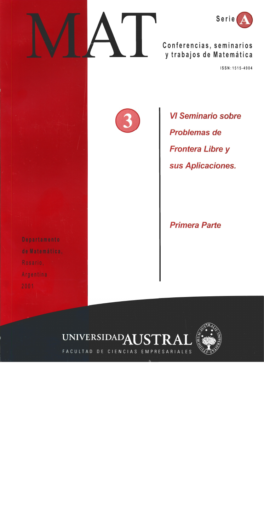



Conferencias, seminarios y trabajos de Matemática

ISSN: 1515-4904

**VI Seminario sobre Problemas de Frontera Libre y** sus Aplicaciones.

**Primera Parte** 



FACULTAD DE CIENCIAS EMPRESARIALES

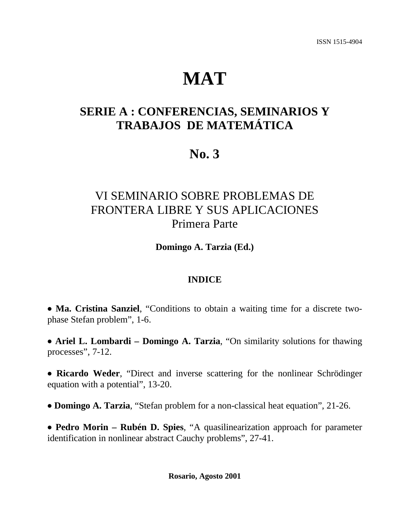# **MAT**

## **SERIE A : CONFERENCIAS, SEMINARIOS Y TRABAJOS DE MATEMÁTICA**

# **No. 3**

# VI SEMINARIO SOBRE PROBLEMAS DE FRONTERA LIBRE Y SUS APLICACIONES Primera Parte

**Domingo A. Tarzia (Ed.)**

### **INDICE**

• Ma. Cristina Sanziel, "Conditions to obtain a waiting time for a discrete twophase Stefan problem", 1-6.

• Ariel L. Lombardi – Domingo A. Tarzia, "On similarity solutions for thawing processes", 7-12.

• Ricardo Weder, "Direct and inverse scattering for the nonlinear Schrödinger equation with a potential", 13-20.

• **Domingo A. Tarzia**, "Stefan problem for a non-classical heat equation", 21-26.

• Pedro Morin – Rubén D. Spies, "A quasilinearization approach for parameter identification in nonlinear abstract Cauchy problems", 27-41.

**Rosario, Agosto 2001**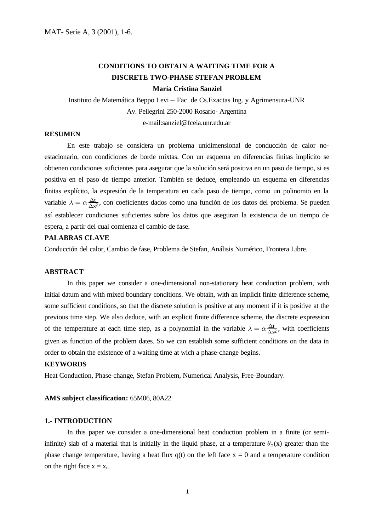### **CONDITIONS TO OBTAIN A WAITING TIME FOR A DISCRETE TWO-PHASE STEFAN PROBLEM**

#### **María Cristina Sanziel**

Instituto de Matemática Beppo Levi – Fac. de Cs.Exactas Ing. y Agrimensura-UNR Av. Pellegrini 250-2000 Rosario- Argentina e-mail:sanziel@fceia.unr.edu.ar

#### **RESUMEN**

En este trabajo se considera un problema unidimensional de conducción de calor noestacionario, con condiciones de borde mixtas. Con un esquema en diferencias finitas implícito se obtienen condiciones suficientes para asegurar que la solución será positiva en un paso de tiempo, si es positiva en el paso de tiempo anterior. También se deduce, empleando un esquema en diferencias finitas explícito, la expresión de la temperatura en cada paso de tiempo, como un polinomio en la variable  $\lambda = \alpha \frac{\Delta t}{\Delta x^2}$ , con coeficientes dados como una función de los datos del problema. Se pueden t  $\overline{x^2}$ así establecer condiciones suficientes sobre los datos que aseguran la existencia de un tiempo de espera, a partir del cual comienza el cambio de fase.

#### **PALABRAS CLAVE**

Conducción del calor, Cambio de fase, Problema de Stefan, Análisis Numérico, Frontera Libre.

#### **ABSTRACT**

 In this paper we consider a one-dimensional non-stationary heat conduction problem, with initial datum and with mixed boundary conditions. We obtain, with an implicit finite difference scheme, some sufficient conditions, so that the discrete solution is positive at any moment if it is positive at the previous time step. We also deduce, with an explicit finite difference scheme, the discrete expression of the temperature at each time step, as a polynomial in the variable  $\lambda = \alpha \frac{\Delta t}{\Delta x^2}$ , with coefficients t  $\overline{x^2}$ given as function of the problem dates. So we can establish some sufficient conditions on the data in order to obtain the existence of a waiting time at wich a phase-change begins.

#### **KEYWORDS**

Heat Conduction, Phase-change, Stefan Problem, Numerical Analysis, Free-Boundary.

#### **AMS subject classification:** 65M06, 80A22

#### **1.- INTRODUCTION**

In this paper we consider a one-dimensional heat conduction problem in a finite (or semiinfinite) slab of a material that is initially in the liquid phase, at a temperature  $\theta_{\circ}(x)$  greater than the phase change temperature, having a heat flux  $q(t)$  on the left face  $x = 0$  and a temperature condition on the right face  $x = x_0$ .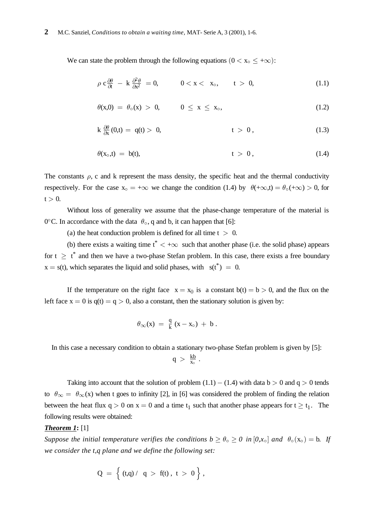We can state the problem through the following equations  $(0 < x_0 \leq +\infty)$ :

$$
\rho c \frac{\partial \theta}{\partial t} - k \frac{\partial^2 \theta}{\partial x^2} = 0, \qquad 0 < x < x_0, \qquad t > 0,
$$
\n(1.1)

$$
\theta(x,0) = \theta_{0}(x) > 0, \qquad 0 \leq x \leq x_{0}, \qquad (1.2)
$$

$$
k \frac{\partial \theta}{\partial x}(0,t) = q(t) > 0, \qquad t > 0,
$$
\n(1.3)

$$
\theta(x_0,t) = b(t), \qquad t > 0, \qquad (1.4)
$$

The constants  $\rho$ , c and k represent the mass density, the specific heat and the thermal conductivity respectively. For the case  $x_0 = +\infty$  we change the condition (1.4) by  $\theta(+\infty,t) = \theta_0(+\infty) > 0$ , for  $t > 0$ .

 Without loss of generality we assume that the phase-change temperature of the material is 0 $^{\circ}$ C. In accordance with the data  $\theta_{\circ}$ , q and b, it can happen that [6]:

(a) the heat conduction problem is defined for all time  $t > 0$ .

(b) there exists a waiting time  $t^* < +\infty$  such that another phase (i.e. the solid phase) appears for  $t \geq t^*$  and then we have a two-phase Stefan problem. In this case, there exists a free boundary  $x = s(t)$ , which separates the liquid and solid phases, with  $s(t^*) = 0$ .

If the temperature on the right face  $x = x_0$  is a constant  $b(t) = b > 0$ , and the flux on the left face  $x = 0$  is  $q(t) = q > 0$ , also a constant, then the stationary solution is given by:

$$
\theta_\infty(x) ~=~ \frac{q}{k}{\,}(x-x_\circ) ~+~b~.
$$

In this case a necessary condition to obtain a stationary two-phase Stefan problem is given by [5]:

$$
q\ >\ \tfrac{kb}{x_\circ}\ .
$$

Taking into account that the solution of problem  $(1.1) - (1.4)$  with data b  $> 0$  and q  $> 0$  tends to  $\theta_{\infty} = \theta_{\infty}(x)$  when t goes to infinity [2], in [6] was considered the problem of finding the relation between the heat flux  $q > 0$  on  $x = 0$  and a time  $t_1$  such that another phase appears for  $t \ge t_1$ . The following results were obtained:

#### *Theorem 1***:** [1]

*Suppose the initial temperature verifies the conditions*  $b \ge \theta_o \ge 0$  *in*  $[0, x_o]$  *and*  $\theta_o(x_o) = b$ . If *we consider the t,q plane and we define the following set:*

$$
Q \;=\; \left\{\; (t,q) \,/\ \ q \;>\; f(t)\;,\; t \;>\; 0\;\right\}\,,
$$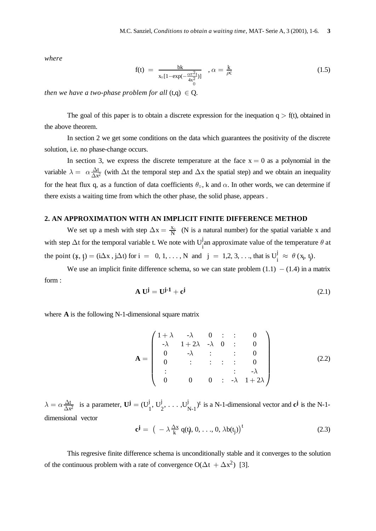where

$$
f(t) = \frac{bk}{x_0[1 - \exp(-\frac{\alpha \pi^2 t}{4x_0^2})]}, \alpha = \frac{k}{\rho c}
$$
\n(1.5)

then we have a two-phase problem for all  $(t,q) \in Q$ .

The goal of this paper is to obtain a discrete expression for the inequation  $q > f(t)$ , obtained in the above theorem.

In section 2 we get some conditions on the data which guarantees the positivity of the discrete solution, *i.e.* no phase-change occurs.

In section 3, we express the discrete temperature at the face  $x = 0$  as a polynomial in the variable  $\lambda = \alpha \frac{\Delta t}{\Delta x^2}$  (with  $\Delta t$  the temporal step and  $\Delta x$  the spatial step) and we obtain an inequality for the heat flux q, as a function of data coefficients  $\theta_0$ , k and  $\alpha$ . In other words, we can determine if there exists a waiting time from which the other phase, the solid phase, appears.

#### 2. AN APPROXIMATION WITH AN IMPLICIT FINITE DIFFERENCE METHOD

We set up a mesh with step  $\Delta x = \frac{x_0}{N}$  (N is a natural number) for the spatial variable x and with step  $\Delta t$  for the temporal variable t. We note with  $U_i^j$  an approximate value of the temperature  $\theta$  at the point  $(\ddot{x}, \dot{y}) = (i\Delta x, j\Delta t)$  for  $i = 0, 1, ..., N$  and  $j = 1, 2, 3, ...,$  that is  $U_i^j \approx \theta(x_i, t_j)$ .

We use an implicit finite difference schema, so we can state problem  $(1.1) - (1.4)$  in a matrix form:

$$
\mathbf{A} \mathbf{U}^{\mathbf{j}} = \mathbf{U}^{\mathbf{j-1}} + \mathbf{c}^{\mathbf{j}} \tag{2.1}
$$

where  $A$  is the following N-1-dimensional square matrix

$$
\mathbf{A} = \begin{pmatrix} 1 + \lambda & -\lambda & 0 & \vdots & \vdots & 0 \\ -\lambda & 1 + 2\lambda & -\lambda & 0 & \vdots & 0 \\ 0 & -\lambda & \vdots & \vdots & \vdots & 0 \\ 0 & \vdots & \vdots & \vdots & \vdots & \vdots \\ 0 & 0 & 0 & \vdots & -\lambda & 1 + 2\lambda \end{pmatrix}
$$
(2.2)

 $\lambda = \alpha \frac{\Delta t}{\Delta x^2}$  is a parameter,  $\mathbf{U}^{\mathbf{j}} = (U_1^{\mathbf{j}}, U_2^{\mathbf{j}}, \dots, U_{N-1}^{\mathbf{j}})^t$  is a N-1-dimensional vector and  $\mathbf{c}^{\mathbf{j}}$  is the N-1dimensional vector

$$
\mathbf{c}^{\mathbf{j}} = \left( -\lambda \frac{\Delta x}{k} q(t_j, 0, \dots, 0, \lambda b(t_j)) \right)^t \tag{2.3}
$$

This regresive finite difference schema is unconditionally stable and it converges to the solution of the continuous problem with a rate of convergence  $O(\Delta t + \Delta x^2)$  [3].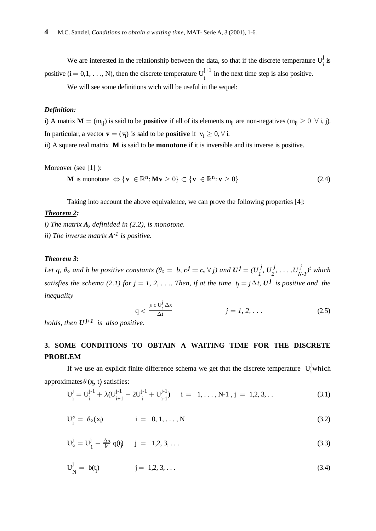We are interested in the relationship between the data, so that if the discrete temperature  $U_i^j$  is positive  $(i = 0, 1, ..., N)$ , then the discrete temperature  $U_i^{j+1}$  in the next time step is also positive.

We will see some definitions wich will be useful in the sequel:

#### *Definition:*

i) A matrix  $M = (m_{ij})$  is said to be **positive** if all of its elements  $m_{ij}$  are non-negatives  $(m_{ij} \geq 0 \forall i, j)$ . In particular, a vector  $\mathbf{v} = (v_i)$  is said to be **positive** if  $v_i \geq 0, \forall i$ .

ii) A square real matrix **M** is said to be **monotone** if it is inversible and its inverse is positive.

Moreover (see [1]):

$$
\mathbf{M} \text{ is monotone } \Leftrightarrow \{ \mathbf{v} \in \mathbb{R}^n \colon \mathbf{M} \mathbf{v} \ge 0 \} \subset \{ \mathbf{v} \in \mathbb{R}^n \colon \mathbf{v} \ge 0 \}
$$
 (2.4)

Taking into account the above equivalence, we can prove the following properties [4]:

#### *Theorem 2:*

 $i)$  The matrix  $A$ , *definided* in  $(2.2)$ , *is monotone. ii*) The inverse matrix  $A^{-1}$  is positive.

#### *Theorem 3***:**

Let q,  $\theta_0$  and b be positive constants ( $\theta_0 = b$ ,  $c^j = c$ ,  $\forall j$ ) and  $U^j = (U^j_1, U^j_2, \ldots, U^j_{N-1})^t$  which *satisfies the schema (2.1) for*  $j = 1, 2, \ldots$  *Then, if at the time*  $t_j = j\Delta t$ *,*  $U^j$  *is positive and the inequality*

$$
q < \frac{\rho c U_1^j \Delta x}{\Delta t} \qquad j = 1, 2, \dots \tag{2.5}
$$

*holds, then*  $U^{j+1}$  *is also positive.* 

### **3. SOME CONDITIONS TO OBTAIN A WAITING TIME FOR THE DISCRETE PROBLEM**

If we use an explicit finite difference schema we get that the discrete temperature  $U_i^j$  which approximates  $\theta$  (x, t) satisfies:

$$
U_i^j = U_i^{j-1} + \lambda (U_{i+1}^{j-1} - 2U_i^{j-1} + U_{i-1}^{j-1}) \quad i = 1, ..., N-1, j = 1, 2, 3, ... \tag{3.1}
$$

$$
U_j^\circ = \theta_\circ(x_j) \qquad i = 0, 1, \dots, N \qquad (3.2)
$$

$$
U_{\circ}^{j} = U_{1}^{j} - \frac{\Delta x}{k} q(t_{j}) \t j = 1, 2, 3, ... \t (3.3)
$$

$$
U_N^j = b(t_j) \t j = 1, 2, 3, ... \t (3.4)
$$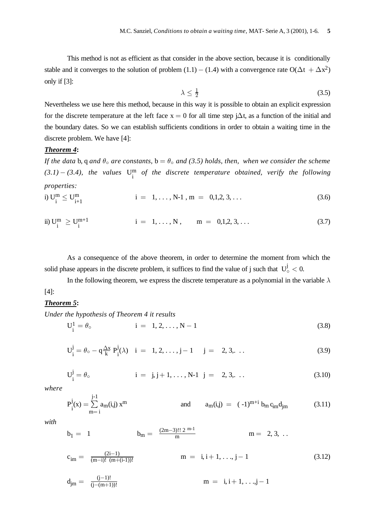This method is not as efficient as that consider in the above section, because it is conditionally stable and it converges to the solution of problem  $(1.1) - (1.4)$  with a convergence rate  $O(\Delta t + \Delta x^2)$ only if  $[3]$ :

$$
\lambda \le \frac{1}{2} \tag{3.5}
$$

Nevertheless we use here this method, because in this way it is possible to obtain an explicit expression for the discrete temperature at the left face  $x = 0$  for all time step  $i\Delta t$ , as a function of the initial and the boundary dates. So we can establish sufficients conditions in order to obtain a waiting time in the discrete problem. We have [4]:

#### **Theorem 4:**

If the data b, q and  $\theta_0$  are constants,  $b = \theta_0$  and (3.5) holds, then, when we consider the scheme  $(3.1) - (3.4)$ , the values  $U_i^m$  of the discrete temperature obtained, verify the following properties:

i) 
$$
U_{i}^{m} \leq U_{i+1}^{m}
$$
 \t\t\t $i = 1, ..., N-1, m = 0,1,2,3,...$  \t\t(3.6)

ii) 
$$
U_i^m \ge U_i^{m+1}
$$
 \t\t\t $i = 1, ..., N, \t m = 0,1,2,3,...$  (3.7)

As a consequence of the above theorem, in order to determine the moment from which the solid phase appears in the discrete problem, it suffices to find the value of j such that  $U^j_{\circ} < 0$ .

In the following theorem, we express the discrete temperature as a polynomial in the variable  $\lambda$  $[4]$ :

#### Theorem 5:

Under the hypothesis of Theorem 4 it results

$$
U_i^1 = \theta \tag{3.8}
$$

$$
U_i^j = \theta_o - q \frac{\Delta x}{k} P_i^j(\lambda) \quad i = 1, 2, ..., j - 1 \quad j = 2, 3, ... \tag{3.9}
$$

$$
U_i^j = \theta \tag{3.10}
$$
\n $i = j, j+1, ..., N-1 \quad j = 2, 3, ...$ 

where

$$
P_i^j(x) = \sum_{m=1}^{j-1} a_m(i,j) x^m
$$
 and 
$$
a_m(i,j) = (-1)^{m+i} b_m c_{im} d_{jm}
$$
 (3.11)

with

$$
b_1 = 1
$$
  $b_m = \frac{(2m-3)!! 2^{m-1}}{m}$   $m = 2, 3, ...$ 

$$
c_{im} = \frac{(2i-1)}{(m-i)! (m+(i-1))!} \qquad m = i, i+1, ..., j-1 \qquad (3.12)
$$

$$
d_{jm} = \frac{(j-1)!}{(j-(m+1))!}
$$
  $m = i, i+1, ..., j-1$